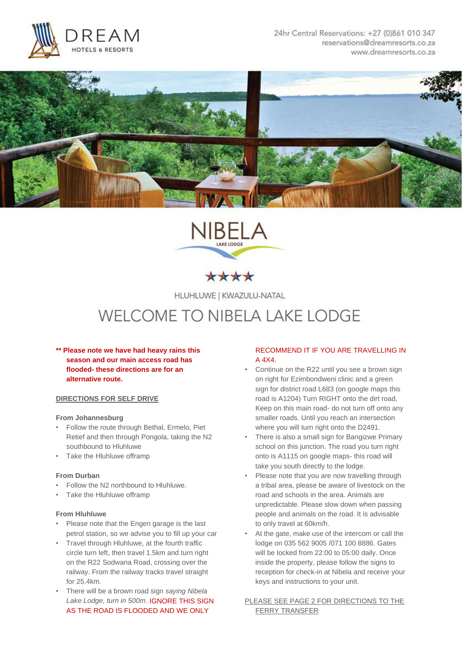





HLUHLUWE | KWAZULU-NATAL

# **WELCOME TO NIBELA LAKE LODGE**

**\*\* Please note we have had heavy rains this season and our main access road has flooded- these directions are for an alternative route.**

# **DIRECTIONS FOR SELF DRIVE**

### **From Johannesburg**

- Follow the route through Bethal, Ermelo, Piet Retief and then through Pongola, taking the N2 southbound to Hluhluwe
- Take the Hluhluwe offramp

## **From Durban**

- Follow the N2 northbound to Hluhluwe.
- Take the Hluhluwe offramp

### **From Hluhluwe**

- Please note that the Engen garage is the last petrol station, so we advise you to fill up your car
- Travel through Hluhluwe, at the fourth traffic circle turn left, then travel 1.5km and turn right on the R22 Sodwana Road, crossing over the railway. From the railway tracks travel straight for 25.4km.
- There will be a brown road sign *saying Nibela Lake Lodge, turn in 500m*. IGNORE THIS SIGN AS THE ROAD IS FLOODED AND WE ONLY

# RECOMMEND IT IF YOU ARE TRAVELLING IN A 4X4.

- Continue on the R22 until you see a brown sign on right for Ezimbondweni clinic and a green sign for district road L683 (on google maps this road is A1204) Turn RIGHT onto the dirt road, Keep on this main road- do not turn off onto any smaller roads. Until you reach an intersection where you will turn right onto the D2491.
- There is also a small sign for Bangizwe Primary school on this junction. The road you turn right onto is A1115 on google maps- this road will take you south directly to the lodge.
- Please note that you are now travelling through a tribal area, please be aware of livestock on the road and schools in the area. Animals are unpredictable. Please slow down when passing people and animals on the road. It is advisable to only travel at 60km/h.
- At the gate, make use of the intercom or call the lodge on 035 562 9005 /071 100 8886. Gates will be locked from 22:00 to 05:00 daily. Once inside the property, please follow the signs to reception for check-in at Nibela and receive your keys and instructions to your unit.
- PLEASE SEE PAGE 2 FOR DIRECTIONS TO THE FERRY TRANSFER